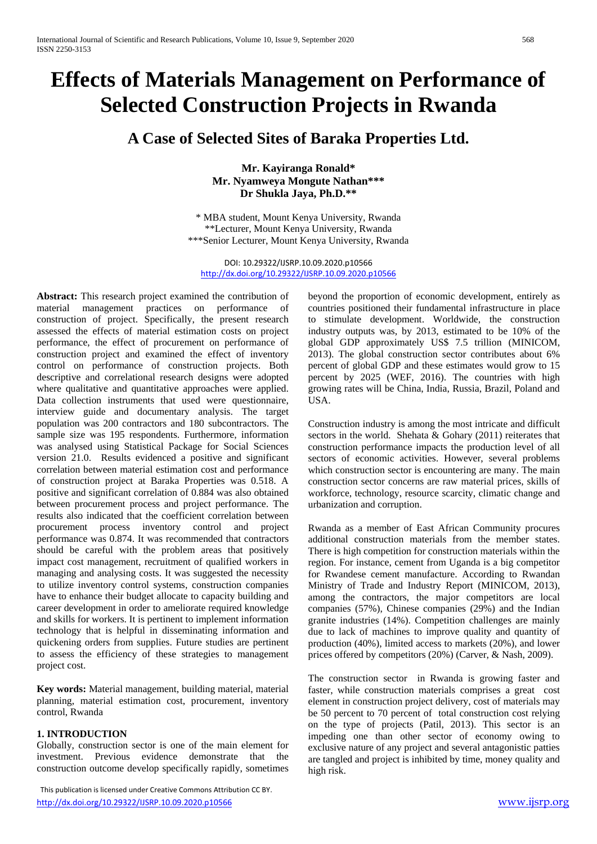# **Effects of Materials Management on Performance of Selected Construction Projects in Rwanda**

# **A Case of Selected Sites of Baraka Properties Ltd.**

**Mr. Kayiranga Ronald\* Mr. Nyamweya Mongute Nathan\*\*\* Dr Shukla Jaya, Ph.D.\*\***

\* MBA student, Mount Kenya University, Rwanda \*\*Lecturer, Mount Kenya University, Rwanda \*\*\*Senior Lecturer, Mount Kenya University, Rwanda

DOI: 10.29322/IJSRP.10.09.2020.p10566 <http://dx.doi.org/10.29322/IJSRP.10.09.2020.p10566>

**Abstract:** This research project examined the contribution of material management practices on performance of construction of project. Specifically, the present research assessed the effects of material estimation costs on project performance, the effect of procurement on performance of construction project and examined the effect of inventory control on performance of construction projects. Both descriptive and correlational research designs were adopted where qualitative and quantitative approaches were applied. Data collection instruments that used were questionnaire, interview guide and documentary analysis. The target population was 200 contractors and 180 subcontractors. The sample size was 195 respondents. Furthermore, information was analysed using Statistical Package for Social Sciences version 21.0. Results evidenced a positive and significant correlation between material estimation cost and performance of construction project at Baraka Properties was 0.518. A positive and significant correlation of 0.884 was also obtained between procurement process and project performance. The results also indicated that the coefficient correlation between procurement process inventory control and project performance was 0.874. It was recommended that contractors should be careful with the problem areas that positively impact cost management, recruitment of qualified workers in managing and analysing costs. It was suggested the necessity to utilize inventory control systems, construction companies have to enhance their budget allocate to capacity building and career development in order to ameliorate required knowledge and skills for workers. It is pertinent to implement information technology that is helpful in disseminating information and quickening orders from supplies. Future studies are pertinent to assess the efficiency of these strategies to management project cost.

**Key words:** Material management, building material, material planning, material estimation cost, procurement, inventory control, Rwanda

#### **1. INTRODUCTION**

Globally, construction sector is one of the main element for investment. Previous evidence demonstrate that the construction outcome develop specifically rapidly, sometimes

 This publication is licensed under Creative Commons Attribution CC BY. <http://dx.doi.org/10.29322/IJSRP.10.09.2020.p10566> [www.ijsrp.org](http://ijsrp.org/)

beyond the proportion of economic development, entirely as countries positioned their fundamental infrastructure in place to stimulate development. Worldwide, the construction industry outputs was, by 2013, estimated to be 10% of the global GDP approximately US\$ 7.5 trillion (MINICOM, 2013). The global construction sector contributes about 6% percent of global GDP and these estimates would grow to 15 percent by 2025 (WEF, 2016). The countries with high growing rates will be China, India, Russia, Brazil, Poland and USA.

Construction industry is among the most intricate and difficult sectors in the world. Shehata & Gohary (2011) reiterates that construction performance impacts the production level of all sectors of economic activities. However, several problems which construction sector is encountering are many. The main construction sector concerns are raw material prices, skills of workforce, technology, resource scarcity, climatic change and urbanization and corruption.

Rwanda as a member of East African Community procures additional construction materials from the member states. There is high competition for construction materials within the region. For instance, cement from Uganda is a big competitor for Rwandese cement manufacture. According to Rwandan Ministry of Trade and Industry Report (MINICOM, 2013), among the contractors, the major competitors are local companies (57%), Chinese companies (29%) and the Indian granite industries (14%). Competition challenges are mainly due to lack of machines to improve quality and quantity of production (40%), limited access to markets (20%), and lower prices offered by competitors (20%) (Carver, & Nash, 2009).

The construction sector in Rwanda is growing faster and faster, while construction materials comprises a great cost element in construction project delivery, cost of materials may be 50 percent to 70 percent of total construction cost relying on the type of projects (Patil, 2013). This sector is an impeding one than other sector of economy owing to exclusive nature of any project and several antagonistic patties are tangled and project is inhibited by time, money quality and high risk.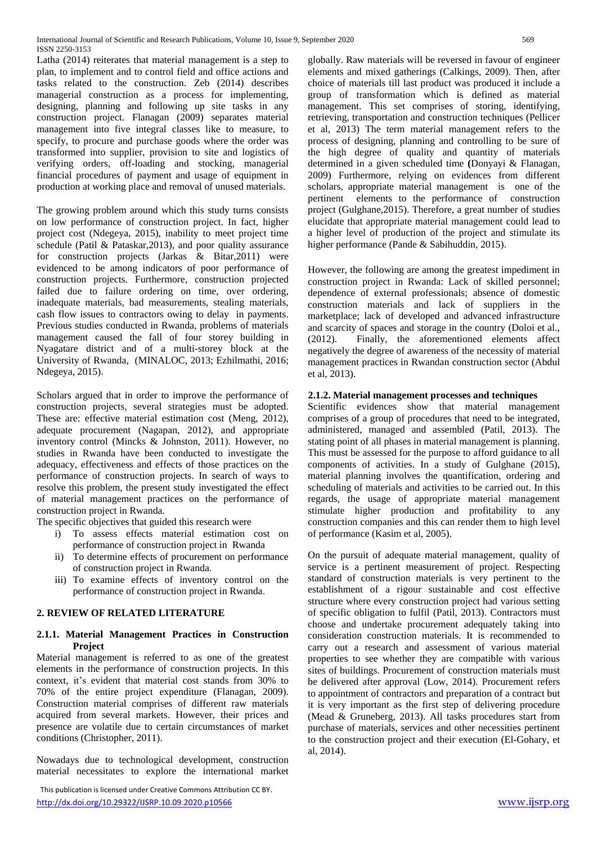Latha (2014) reiterates that material management is a step to plan, to implement and to control field and office actions and tasks related to the construction. Zeb (2014) describes managerial construction as a process for implementing, designing, planning and following up site tasks in any construction project. Flanagan (2009) separates material management into five integral classes like to measure, to specify, to procure and purchase goods where the order was transformed into supplier, provision to site and logistics of verifying orders, off-loading and stocking, managerial financial procedures of payment and usage of equipment in production at working place and removal of unused materials.

The growing problem around which this study turns consists on low performance of construction project. In fact, higher project cost (Ndegeya, 2015), inability to meet project time schedule (Patil & Pataskar,2013), and poor quality assurance for construction projects (Jarkas & Bitar,2011) were evidenced to be among indicators of poor performance of construction projects. Furthermore, construction projected failed due to failure ordering on time, over ordering, inadequate materials, bad measurements, stealing materials, cash flow issues to contractors owing to delay in payments. Previous studies conducted in Rwanda, problems of materials management caused the fall of four storey building in Nyagatare district and of a multi-storey block at the University of Rwanda, (MINALOC, 2013; Ezhilmathi, 2016; Ndegeya, 2015).

Scholars argued that in order to improve the performance of construction projects, several strategies must be adopted. These are: effective material estimation cost (Meng, 2012), adequate procurement (Nagapan, 2012), and appropriate inventory control (Mincks & Johnston, 2011). However, no studies in Rwanda have been conducted to investigate the adequacy, effectiveness and effects of those practices on the performance of construction projects. In search of ways to resolve this problem, the present study investigated the effect of material management practices on the performance of construction project in Rwanda.

The specific objectives that guided this research were

- i) To assess effects material estimation cost on performance of construction project in Rwanda
- ii) To determine effects of procurement on performance of construction project in Rwanda.
- iii) To examine effects of inventory control on the performance of construction project in Rwanda.

## **2. REVIEW OF RELATED LITERATURE**

#### **2.1.1. Material Management Practices in Construction Project**

Material management is referred to as one of the greatest elements in the performance of construction projects. In this context, it's evident that material cost stands from 30% to 70% of the entire project expenditure (Flanagan, 2009). Construction material comprises of different raw materials acquired from several markets. However, their prices and presence are volatile due to certain circumstances of market conditions (Christopher, 2011).

Nowadays due to technological development, construction material necessitates to explore the international market

 This publication is licensed under Creative Commons Attribution CC BY. <http://dx.doi.org/10.29322/IJSRP.10.09.2020.p10566> [www.ijsrp.org](http://ijsrp.org/)

globally. Raw materials will be reversed in favour of engineer elements and mixed gatherings (Calkings, 2009). Then, after choice of materials till last product was produced it include a group of transformation which is defined as material management. This set comprises of storing, identifying, retrieving, transportation and construction techniques (Pellicer et al, 2013) The term material management refers to the process of designing, planning and controlling to be sure of the high degree of quality and quantity of materials determined in a given scheduled time **(**Donyayi & Flanagan, 2009) Furthermore, relying on evidences from different scholars, appropriate material management is one of the pertinent elements to the performance of construction project (Gulghane,2015). Therefore, a great number of studies elucidate that appropriate material management could lead to a higher level of production of the project and stimulate its higher performance (Pande & Sabihuddin, 2015).

However, the following are among the greatest impediment in construction project in Rwanda: Lack of skilled personnel; dependence of external professionals; absence of domestic construction materials and lack of suppliers in the marketplace; lack of developed and advanced infrastructure and scarcity of spaces and storage in the country (Doloi et al., (2012). Finally, the aforementioned elements affect negatively the degree of awareness of the necessity of material management practices in Rwandan construction sector (Abdul et al, 2013).

#### **2.1.2. Material management processes and techniques**

Scientific evidences show that material management comprises of a group of procedures that need to be integrated, administered, managed and assembled (Patil, 2013). The stating point of all phases in material management is planning. This must be assessed for the purpose to afford guidance to all components of activities. In a study of Gulghane (2015), material planning involves the quantification, ordering and scheduling of materials and activities to be carried out. In this regards, the usage of appropriate material management stimulate higher production and profitability to any construction companies and this can render them to high level of performance (Kasim et al, 2005).

On the pursuit of adequate material management, quality of service is a pertinent measurement of project. Respecting standard of construction materials is very pertinent to the establishment of a rigour sustainable and cost effective structure where every construction project had various setting of specific obligation to fulfil (Patil, 2013). Contractors must choose and undertake procurement adequately taking into consideration construction materials. It is recommended to carry out a research and assessment of various material properties to see whether they are compatible with various sites of buildings. Procurement of construction materials must be delivered after approval (Low, 2014). Procurement refers to appointment of contractors and preparation of a contract but it is very important as the first step of delivering procedure (Mead & Gruneberg, 2013). All tasks procedures start from purchase of materials, services and other necessities pertinent to the construction project and their execution (El-Gohary, et al, 2014).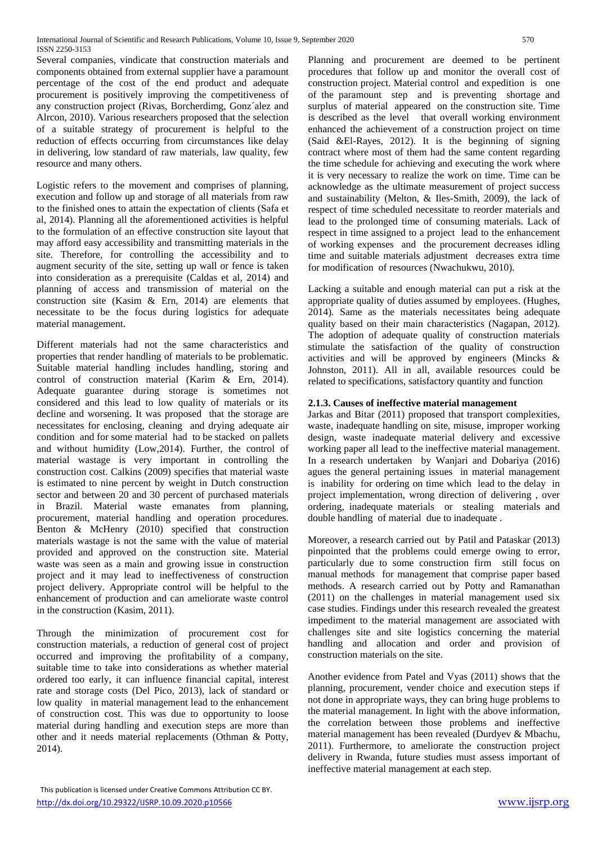Several companies, vindicate that construction materials and components obtained from external supplier have a paramount percentage of the cost of the end product and adequate procurement is positively improving the competitiveness of any construction project (Rivas, Borcherdimg, Gonz´alez and Alrcon, 2010). Various researchers proposed that the selection of a suitable strategy of procurement is helpful to the reduction of effects occurring from circumstances like delay in delivering, low standard of raw materials, law quality, few resource and many others.

Logistic refers to the movement and comprises of planning, execution and follow up and storage of all materials from raw to the finished ones to attain the expectation of clients (Safa et al, 2014). Planning all the aforementioned activities is helpful to the formulation of an effective construction site layout that may afford easy accessibility and transmitting materials in the site. Therefore, for controlling the accessibility and to augment security of the site, setting up wall or fence is taken into consideration as a prerequisite (Caldas et al, 2014) and planning of access and transmission of material on the construction site (Kasim & Ern, 2014) are elements that necessitate to be the focus during logistics for adequate material management.

Different materials had not the same characteristics and properties that render handling of materials to be problematic. Suitable material handling includes handling, storing and control of construction material (Karim & Ern, 2014). Adequate guarantee during storage is sometimes not considered and this lead to low quality of materials or its decline and worsening. It was proposed that the storage are necessitates for enclosing, cleaning and drying adequate air condition and for some material had to be stacked on pallets and without humidity (Low,2014). Further, the control of material wastage is very important in controlling the construction cost. Calkins (2009) specifies that material waste is estimated to nine percent by weight in Dutch construction sector and between 20 and 30 percent of purchased materials in Brazil. Material waste emanates from planning, procurement, material handling and operation procedures. Benton & McHenry (2010) specified that construction materials wastage is not the same with the value of material provided and approved on the construction site. Material waste was seen as a main and growing issue in construction project and it may lead to ineffectiveness of construction project delivery. Appropriate control will be helpful to the enhancement of production and can ameliorate waste control in the construction (Kasim, 2011).

Through the minimization of procurement cost for construction materials, a reduction of general cost of project occurred and improving the profitability of a company, suitable time to take into considerations as whether material ordered too early, it can influence financial capital, interest rate and storage costs (Del Pico, 2013), lack of standard or low quality in material management lead to the enhancement of construction cost. This was due to opportunity to loose material during handling and execution steps are more than other and it needs material replacements (Othman & Potty, 2014).

Planning and procurement are deemed to be pertinent procedures that follow up and monitor the overall cost of construction project. Material control and expedition is one of the paramount step and is preventing shortage and surplus of material appeared on the construction site. Time is described as the level that overall working environment enhanced the achievement of a construction project on time (Said &El-Rayes, 2012). It is the beginning of signing contract where most of them had the same content regarding the time schedule for achieving and executing the work where it is very necessary to realize the work on time. Time can be acknowledge as the ultimate measurement of project success and sustainability (Melton, & Iles-Smith, 2009), the lack of respect of time scheduled necessitate to reorder materials and lead to the prolonged time of consuming materials. Lack of respect in time assigned to a project lead to the enhancement of working expenses and the procurement decreases idling time and suitable materials adjustment decreases extra time for modification of resources (Nwachukwu, 2010).

Lacking a suitable and enough material can put a risk at the appropriate quality of duties assumed by employees. (Hughes, 2014). Same as the materials necessitates being adequate quality based on their main characteristics (Nagapan, 2012). The adoption of adequate quality of construction materials stimulate the satisfaction of the quality of construction activities and will be approved by engineers (Mincks & Johnston, 2011). All in all, available resources could be related to specifications, satisfactory quantity and function

#### **2.1.3. Causes of ineffective material management**

Jarkas and Bitar (2011) proposed that transport complexities, waste, inadequate handling on site, misuse, improper working design, waste inadequate material delivery and excessive working paper all lead to the ineffective material management. In a research undertaken by Wanjari and Dobariya (2016) agues the general pertaining issues in material management is inability for ordering on time which lead to the delay in project implementation, wrong direction of delivering , over ordering, inadequate materials or stealing materials and double handling of material due to inadequate .

Moreover, a research carried out by Patil and Pataskar (2013) pinpointed that the problems could emerge owing to error, particularly due to some construction firm still focus on manual methods for management that comprise paper based methods. A research carried out by Potty and Ramanathan (2011) on the challenges in material management used six case studies. Findings under this research revealed the greatest impediment to the material management are associated with challenges site and site logistics concerning the material handling and allocation and order and provision of construction materials on the site.

Another evidence from Patel and Vyas (2011) shows that the planning, procurement, vender choice and execution steps if not done in appropriate ways, they can bring huge problems to the material management. In light with the above information, the correlation between those problems and ineffective material management has been revealed (Durdyev & Mbachu, 2011). Furthermore, to ameliorate the construction project delivery in Rwanda, future studies must assess important of ineffective material management at each step.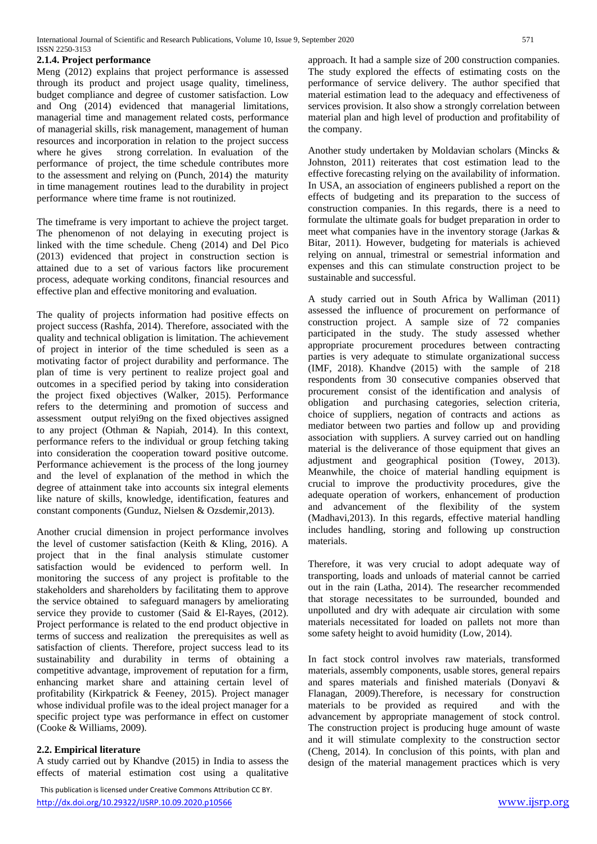#### **2.1.4. Project performance**

Meng (2012) explains that project performance is assessed through its product and project usage quality, timeliness, budget compliance and degree of customer satisfaction. Low and Ong (2014) evidenced that managerial limitations, managerial time and management related costs, performance of managerial skills, risk management, management of human resources and incorporation in relation to the project success where he gives strong correlation. In evaluation of the performance of project, the time schedule contributes more to the assessment and relying on (Punch, 2014) the maturity in time management routines lead to the durability in project performance where time frame is not routinized.

The timeframe is very important to achieve the project target. The phenomenon of not delaying in executing project is linked with the time schedule. Cheng (2014) and Del Pico (2013) evidenced that project in construction section is attained due to a set of various factors like procurement process, adequate working conditons, financial resources and effective plan and effective monitoring and evaluation.

The quality of projects information had positive effects on project success (Rashfa, 2014). Therefore, associated with the quality and technical obligation is limitation. The achievement of project in interior of the time scheduled is seen as a motivating factor of project durability and performance. The plan of time is very pertinent to realize project goal and outcomes in a specified period by taking into consideration the project fixed objectives (Walker, 2015). Performance refers to the determining and promotion of success and assessment output relyi9ng on the fixed objectives assigned to any project (Othman & Napiah, 2014). In this context, performance refers to the individual or group fetching taking into consideration the cooperation toward positive outcome. Performance achievement is the process of the long journey and the level of explanation of the method in which the degree of attainment take into accounts six integral elements like nature of skills, knowledge, identification, features and constant components (Gunduz, Nielsen & Ozsdemir,2013).

Another crucial dimension in project performance involves the level of customer satisfaction (Keith & Kling, 2016). A project that in the final analysis stimulate customer satisfaction would be evidenced to perform well. In monitoring the success of any project is profitable to the stakeholders and shareholders by facilitating them to approve the service obtained to safeguard managers by ameliorating service they provide to customer (Said & El-Rayes, (2012). Project performance is related to the end product objective in terms of success and realization the prerequisites as well as satisfaction of clients. Therefore, project success lead to its sustainability and durability in terms of obtaining a competitive advantage, improvement of reputation for a firm, enhancing market share and attaining certain level of profitability (Kirkpatrick & Feeney, 2015). Project manager whose individual profile was to the ideal project manager for a specific project type was performance in effect on customer (Cooke & Williams, 2009).

#### **2.2. Empirical literature**

A study carried out by Khandve (2015) in India to assess the effects of material estimation cost using a qualitative

approach. It had a sample size of 200 construction companies. The study explored the effects of estimating costs on the performance of service delivery. The author specified that material estimation lead to the adequacy and effectiveness of services provision. It also show a strongly correlation between material plan and high level of production and profitability of the company.

Another study undertaken by Moldavian scholars (Mincks & Johnston, 2011) reiterates that cost estimation lead to the effective forecasting relying on the availability of information. In USA, an association of engineers published a report on the effects of budgeting and its preparation to the success of construction companies. In this regards, there is a need to formulate the ultimate goals for budget preparation in order to meet what companies have in the inventory storage (Jarkas & Bitar, 2011). However, budgeting for materials is achieved relying on annual, trimestral or semestrial information and expenses and this can stimulate construction project to be sustainable and successful.

A study carried out in South Africa by Walliman (2011) assessed the influence of procurement on performance of construction project. A sample size of 72 companies participated in the study. The study assessed whether appropriate procurement procedures between contracting parties is very adequate to stimulate organizational success (IMF, 2018). Khandve (2015) with the sample of 218 respondents from 30 consecutive companies observed that procurement consist of the identification and analysis of obligation and purchasing categories, selection criteria, choice of suppliers, negation of contracts and actions as mediator between two parties and follow up and providing association with suppliers. A survey carried out on handling material is the deliverance of those equipment that gives an adjustment and geographical position (Towey, 2013). Meanwhile, the choice of material handling equipment is crucial to improve the productivity procedures, give the adequate operation of workers, enhancement of production and advancement of the flexibility of the system (Madhavi,2013). In this regards, effective material handling includes handling, storing and following up construction materials.

Therefore, it was very crucial to adopt adequate way of transporting, loads and unloads of material cannot be carried out in the rain (Latha, 2014). The researcher recommended that storage necessitates to be surrounded, bounded and unpolluted and dry with adequate air circulation with some materials necessitated for loaded on pallets not more than some safety height to avoid humidity (Low, 2014).

In fact stock control involves raw materials, transformed materials, assembly components, usable stores, general repairs and spares materials and finished materials (Donyavi & Flanagan, 2009).Therefore, is necessary for construction materials to be provided as required and with the advancement by appropriate management of stock control. The construction project is producing huge amount of waste and it will stimulate complexity to the construction sector (Cheng, 2014). In conclusion of this points, with plan and design of the material management practices which is very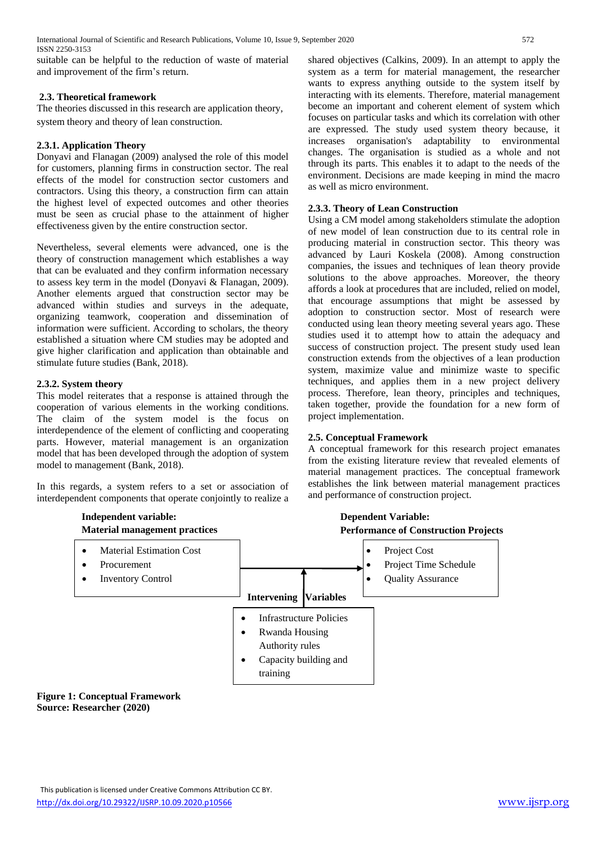suitable can be helpful to the reduction of waste of material and improvement of the firm's return.

## **2.3. Theoretical framework**

The theories discussed in this research are application theory, system theory and theory of lean construction.

# **2.3.1. Application Theory**

Donyavi and Flanagan (2009) analysed the role of this model for customers, planning firms in construction sector. The real effects of the model for construction sector customers and contractors. Using this theory, a construction firm can attain the highest level of expected outcomes and other theories must be seen as crucial phase to the attainment of higher effectiveness given by the entire construction sector.

Nevertheless, several elements were advanced, one is the theory of construction management which establishes a way that can be evaluated and they confirm information necessary to assess key term in the model (Donyavi & Flanagan, 2009). Another elements argued that construction sector may be advanced within studies and surveys in the adequate, organizing teamwork, cooperation and dissemination of information were sufficient. According to scholars, the theory established a situation where CM studies may be adopted and give higher clarification and application than obtainable and stimulate future studies (Bank, 2018).

# **2.3.2. System theory**

This model reiterates that a response is attained through the cooperation of various elements in the working conditions. The claim of the system model is the focus on interdependence of the element of conflicting and cooperating parts. However, material management is an organization model that has been developed through the adoption of system model to management (Bank, 2018).

In this regards, a system refers to a set or association of interdependent components that operate conjointly to realize a shared objectives (Calkins, 2009). In an attempt to apply the system as a term for material management, the researcher wants to express anything outside to the system itself by interacting with its elements. Therefore, material management become an important and coherent element of system which focuses on particular tasks and which its correlation with other are expressed. The study used system theory because, it increases organisation's adaptability to environmental changes. The organisation is studied as a whole and not through its parts. This enables it to adapt to the needs of the environment. Decisions are made keeping in mind the macro as well as micro environment.

# **2.3.3. Theory of Lean Construction**

Using a CM model among stakeholders stimulate the adoption of new model of lean construction due to its central role in producing material in construction sector. This theory was advanced by Lauri Koskela (2008). Among construction companies, the issues and techniques of lean theory provide solutions to the above approaches. Moreover, the theory affords a look at procedures that are included, relied on model, that encourage assumptions that might be assessed by adoption to construction sector. Most of research were conducted using lean theory meeting several years ago. These studies used it to attempt how to attain the adequacy and success of construction project. The present study used lean construction extends from the objectives of a lean production system, maximize value and minimize waste to specific techniques, and applies them in a new project delivery process. Therefore, lean theory, principles and techniques, taken together, provide the foundation for a new form of project implementation.

# **2.5. Conceptual Framework**

A conceptual framework for this research project emanates from the existing literature review that revealed elements of material management practices. The conceptual framework establishes the link between material management practices and performance of construction project.



#### **Figure 1: Conceptual Framework Source: Researcher (2020)**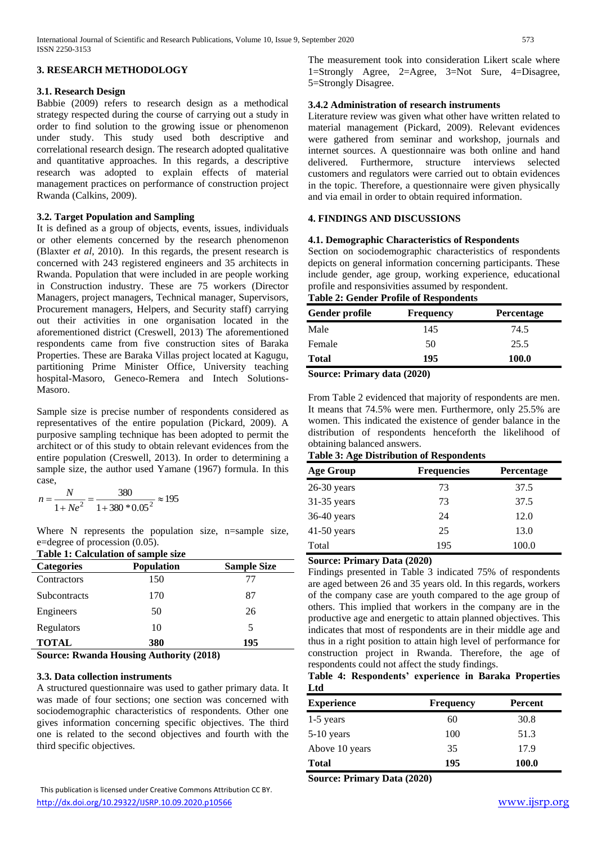#### **3. RESEARCH METHODOLOGY**

#### **3.1. Research Design**

Babbie (2009) refers to research design as a methodical strategy respected during the course of carrying out a study in order to find solution to the growing issue or phenomenon under study. This study used both descriptive and correlational research design. The research adopted qualitative and quantitative approaches. In this regards, a descriptive research was adopted to explain effects of material management practices on performance of construction project Rwanda (Calkins, 2009).

#### **3.2. Target Population and Sampling**

It is defined as a group of objects, events, issues, individuals or other elements concerned by the research phenomenon (Blaxter *et al*, 2010). In this regards, the present research is concerned with 243 registered engineers and 35 architects in Rwanda. Population that were included in are people working in Construction industry. These are 75 workers (Director Managers, project managers, Technical manager, Supervisors, Procurement managers, Helpers, and Security staff) carrying out their activities in one organisation located in the aforementioned district (Creswell, 2013) The aforementioned respondents came from five construction sites of Baraka Properties. These are Baraka Villas project located at Kagugu, partitioning Prime Minister Office, University teaching hospital-Masoro, Geneco-Remera and Intech Solutions-Masoro.

Sample size is precise number of respondents considered as representatives of the entire population (Pickard, 2009). A purposive sampling technique has been adopted to permit the architect or of this study to obtain relevant evidences from the entire population (Creswell, 2013). In order to determining a sample size, the author used Yamane (1967) formula. In this case,

$$
n = \frac{N}{1 + Ne^2} = \frac{380}{1 + 380 * 0.05^2} \approx 195
$$

Where N represents the population size, n=sample size, e=degree of procession (0.05).

|  | Table 1: Calculation of sample size |  |  |
|--|-------------------------------------|--|--|

| Table 1, Calculation of Sample Size |                    |  |  |  |  |  |  |  |
|-------------------------------------|--------------------|--|--|--|--|--|--|--|
| <b>Population</b>                   | <b>Sample Size</b> |  |  |  |  |  |  |  |
| 150                                 | 77                 |  |  |  |  |  |  |  |
| 170                                 | 87                 |  |  |  |  |  |  |  |
| 50                                  | 26                 |  |  |  |  |  |  |  |
| 10                                  | 5                  |  |  |  |  |  |  |  |
| 380                                 | 195                |  |  |  |  |  |  |  |
|                                     |                    |  |  |  |  |  |  |  |

**Source: Rwanda Housing Authority (2018)**

#### **3.3. Data collection instruments**

A structured questionnaire was used to gather primary data. It was made of four sections; one section was concerned with sociodemographic characteristics of respondents. Other one gives information concerning specific objectives. The third one is related to the second objectives and fourth with the third specific objectives.

The measurement took into consideration Likert scale where 1=Strongly Agree, 2=Agree, 3=Not Sure, 4=Disagree, 5=Strongly Disagree.

#### **3.4.2 Administration of research instruments**

Literature review was given what other have written related to material management (Pickard, 2009). Relevant evidences were gathered from seminar and workshop, journals and internet sources. A questionnaire was both online and hand delivered. Furthermore, structure interviews selected customers and regulators were carried out to obtain evidences in the topic. Therefore, a questionnaire were given physically and via email in order to obtain required information.

#### **4. FINDINGS AND DISCUSSIONS**

#### **4.1. Demographic Characteristics of Respondents**

Section on sociodemographic characteristics of respondents depicts on general information concerning participants. These include gender, age group, working experience, educational profile and responsivities assumed by respondent. **Table 2: Gender Profile of Respondents**

# **Gender profile Frequency Percentage**

| Gender profile | <b>Frequency</b> | <b>Percentage</b> |
|----------------|------------------|-------------------|
| Male           | 145              | 74.5              |
| Female         | 50               | 25.5              |
| <b>Total</b>   | 195              | 100.0             |

**Source: Primary data (2020)**

From Table 2 evidenced that majority of respondents are men. It means that 74.5% were men. Furthermore, only 25.5% are women. This indicated the existence of gender balance in the distribution of respondents henceforth the likelihood of obtaining balanced answers.

#### **Table 3: Age Distribution of Respondents**

| <b>Age Group</b> | <b>Frequencies</b>     | <b>Percentage</b> |
|------------------|------------------------|-------------------|
| $26-30$ years    | 73                     | 37.5              |
| $31-35$ years    | 73                     | 37.5              |
| 36-40 years      | 24                     | 12.0              |
| $41-50$ years    | 25                     | 13.0              |
| Total            | 195                    | 100.0             |
| $\sim$<br>$\sim$ | $\mathbf{r}$ $(0.000)$ |                   |

#### **Source: Primary Data (2020)**

Findings presented in Table 3 indicated 75% of respondents are aged between 26 and 35 years old. In this regards, workers of the company case are youth compared to the age group of others. This implied that workers in the company are in the productive age and energetic to attain planned objectives. This indicates that most of respondents are in their middle age and thus in a right position to attain high level of performance for construction project in Rwanda. Therefore, the age of respondents could not affect the study findings.

#### **Table 4: Respondents' experience in Baraka Properties Ltd**

| <b>Experience</b> | <b>Frequency</b> | Percent |  |  |
|-------------------|------------------|---------|--|--|
| $1-5$ years       | 60               | 30.8    |  |  |
| $5-10$ years      | 100              | 51.3    |  |  |
| Above 10 years    | 35               | 17.9    |  |  |
| <b>Total</b>      | 195              | 100.0   |  |  |

**Source: Primary Data (2020)**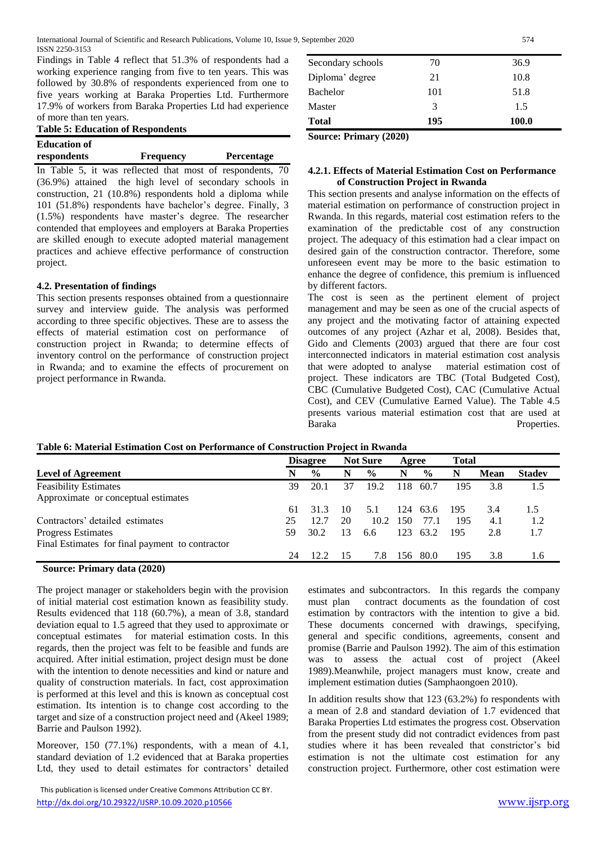Findings in Table 4 reflect that 51.3% of respondents had a working experience ranging from five to ten years. This was followed by 30.8% of respondents experienced from one to five years working at Baraka Properties Ltd. Furthermore 17.9% of workers from Baraka Properties Ltd had experience of more than ten years.

| <b>Table 5: Education of Respondents</b> |
|------------------------------------------|
|------------------------------------------|

| <b>Education of</b> |                  |                   |
|---------------------|------------------|-------------------|
| respondents         | <b>Frequency</b> | <b>Percentage</b> |

In Table 5, it was reflected that most of respondents, 70 (36.9%) attained the high level of secondary schools in construction, 21 (10.8%) respondents hold a diploma while 101 (51.8%) respondents have bachelor's degree. Finally, 3 (1.5%) respondents have master's degree. The researcher contended that employees and employers at Baraka Properties are skilled enough to execute adopted material management practices and achieve effective performance of construction project.

#### **4.2. Presentation of findings**

This section presents responses obtained from a questionnaire survey and interview guide. The analysis was performed according to three specific objectives. These are to assess the effects of material estimation cost on performance of construction project in Rwanda; to determine effects of inventory control on the performance of construction project in Rwanda; and to examine the effects of procurement on project performance in Rwanda.

| <b>Total</b>      | 195 | 100.0 |
|-------------------|-----|-------|
| Master            | 3   | 1.5   |
| Bachelor          | 101 | 51.8  |
| Diploma' degree   | 21  | 10.8  |
| Secondary schools | 70  | 36.9  |

**Source: Primary (2020)**

#### **4.2.1. Effects of Material Estimation Cost on Performance of Construction Project in Rwanda**

This section presents and analyse information on the effects of material estimation on performance of construction project in Rwanda. In this regards, material cost estimation refers to the examination of the predictable cost of any construction project. The adequacy of this estimation had a clear impact on desired gain of the construction contractor. Therefore, some unforeseen event may be more to the basic estimation to enhance the degree of confidence, this premium is influenced by different factors.

The cost is seen as the pertinent element of project management and may be seen as one of the crucial aspects of any project and the motivating factor of attaining expected outcomes of any project (Azhar et al, 2008). Besides that, Gido and Clements (2003) argued that there are four cost interconnected indicators in material estimation cost analysis that were adopted to analyse material estimation cost of project. These indicators are TBC (Total Budgeted Cost), CBC (Cumulative Budgeted Cost), CAC (Cumulative Actual Cost), and CEV (Cumulative Earned Value). The Table 4.5 presents various material estimation cost that are used at Baraka Properties.

|                                                 |     | <b>Disagree</b> |    | <b>Not Sure</b> | Agree |               | <b>Total</b> |             |               |
|-------------------------------------------------|-----|-----------------|----|-----------------|-------|---------------|--------------|-------------|---------------|
| <b>Level of Agreement</b>                       | N   | $\frac{0}{0}$   | N  | $\frac{6}{9}$   | N     | $\frac{0}{0}$ | N            | <b>Mean</b> | <b>Stadev</b> |
| <b>Feasibility Estimates</b>                    | 39  | 20.1            | 37 | 19.2            | 118   | 60.7          | 195          | 3.8         | 1.5           |
| Approximate or conceptual estimates             |     |                 |    |                 |       |               |              |             |               |
|                                                 | 61  | 31.3            | 10 | 5.1             | 124   | 63.6          | 195          | 3.4         | 1.5           |
| Contractors' detailed estimates                 | 25  | 12.7            | 20 | 10.2            | 150   | 77.1          | 195          | 4.1         | 1.2           |
| <b>Progress Estimates</b>                       | 59. | 30.2            | 13 | 6.6             | 123   | 63.2          | 195          | 2.8         | 1.7           |
| Final Estimates for final payment to contractor |     |                 |    |                 |       |               |              |             |               |
|                                                 | 24  | 122             | 15 | 7.8             | 156   | 80.0          | 195          | 3.8         | 1.6           |

## **Table 6: Material Estimation Cost on Performance of Construction Project in Rwanda**

#### **Source: Primary data (2020)**

The project manager or stakeholders begin with the provision of initial material cost estimation known as feasibility study. Results evidenced that 118 (60.7%), a mean of 3.8, standard deviation equal to 1.5 agreed that they used to approximate or conceptual estimates for material estimation costs. In this regards, then the project was felt to be feasible and funds are acquired. After initial estimation, project design must be done with the intention to denote necessities and kind or nature and quality of construction materials. In fact, cost approximation is performed at this level and this is known as conceptual cost estimation. Its intention is to change cost according to the target and size of a construction project need and (Akeel 1989; Barrie and Paulson 1992).

Moreover, 150 (77.1%) respondents, with a mean of 4.1, standard deviation of 1.2 evidenced that at Baraka properties Ltd, they used to detail estimates for contractors' detailed

estimates and subcontractors. In this regards the company must plan contract documents as the foundation of cost estimation by contractors with the intention to give a bid. These documents concerned with drawings, specifying, general and specific conditions, agreements, consent and promise (Barrie and Paulson 1992). The aim of this estimation was to assess the actual cost of project (Akeel 1989).Meanwhile, project managers must know, create and implement estimation duties (Samphaongoen 2010).

In addition results show that 123 (63.2%) fo respondents with a mean of 2.8 and standard deviation of 1.7 evidenced that Baraka Properties Ltd estimates the progress cost. Observation from the present study did not contradict evidences from past studies where it has been revealed that constrictor's bid estimation is not the ultimate cost estimation for any construction project. Furthermore, other cost estimation were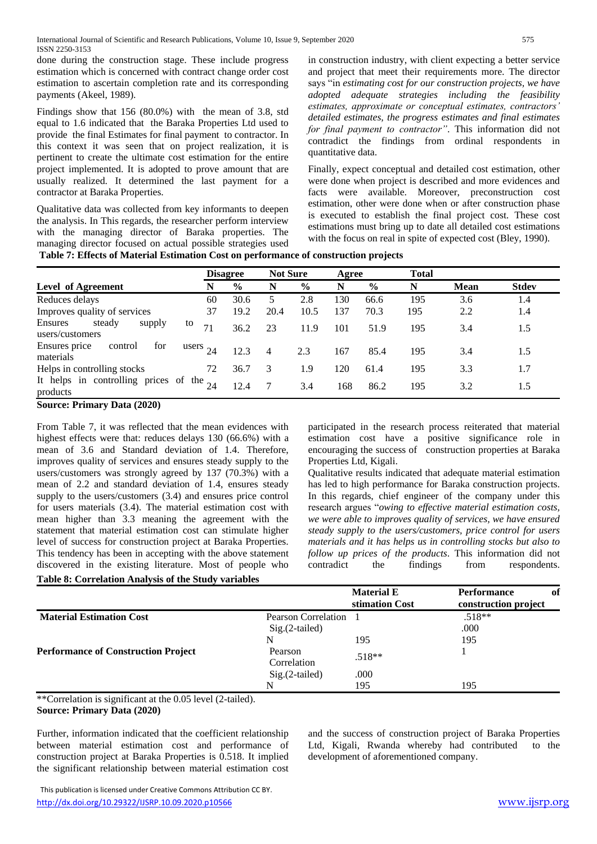done during the construction stage. These include progress estimation which is concerned with contract change order cost estimation to ascertain completion rate and its corresponding payments (Akeel, 1989).

Findings show that 156 (80.0%) with the mean of 3.8, std equal to 1.6 indicated that the Baraka Properties Ltd used to provide the final Estimates for final payment to contractor. In this context it was seen that on project realization, it is pertinent to create the ultimate cost estimation for the entire project implemented. It is adopted to prove amount that are usually realized. It determined the last payment for a contractor at Baraka Properties.

Qualitative data was collected from key informants to deepen the analysis. In This regards, the researcher perform interview with the managing director of Baraka properties. The managing director focused on actual possible strategies used

in construction industry, with client expecting a better service and project that meet their requirements more. The director says "in *estimating cost for our construction projects, we have adopted adequate strategies including the feasibility estimates, approximate or conceptual estimates, contractors' detailed estimates, the progress estimates and final estimates for final payment to contractor"*. This information did not contradict the findings from ordinal respondents in quantitative data.

Finally, expect conceptual and detailed cost estimation, other were done when project is described and more evidences and facts were available. Moreover, preconstruction cost estimation, other were done when or after construction phase is executed to establish the final project cost. These cost estimations must bring up to date all detailed cost estimations with the focus on real in spite of expected cost (Bley, 1990).

**Table 7: Effects of Material Estimation Cost on performance of construction projects**

|                                                           |            | <b>Disagree</b> | <b>Not Sure</b> |               | Agree |      | <b>Total</b> |             |              |
|-----------------------------------------------------------|------------|-----------------|-----------------|---------------|-------|------|--------------|-------------|--------------|
| <b>Level of Agreement</b>                                 | N          | $\frac{6}{6}$   | N               | $\frac{6}{9}$ | N     | $\%$ | N            | <b>Mean</b> | <b>Stdev</b> |
| Reduces delays                                            | 60         | 30.6            |                 | 2.8           | 130   | 66.6 | 195          | 3.6         | 1.4          |
| Improves quality of services                              | 37         | 19.2            | 20.4            | 10.5          | 137   | 70.3 | 195          | 2.2         | 1.4          |
| steady<br>Ensures<br>supply<br>users/customers            | to<br>71   | 36.2            | 23              | 11.9          | 101   | 51.9 | 195          | 3.4         | 1.5          |
| for<br>Ensures price<br>control<br>materials              | users $24$ | 12.3            |                 | 2.3           | 167   | 85.4 | 195          | 3.4         | 1.5          |
| Helps in controlling stocks                               | 72         | 36.7            | 3               | 1.9           | 120   | 61.4 | 195          | 3.3         | 1.7          |
| It helps in controlling prices of the $_{24}$<br>products |            | 12.4            |                 | 3.4           | 168   | 86.2 | 195          | 3.2         | 1.5          |

**Source: Primary Data (2020)**

From Table 7, it was reflected that the mean evidences with highest effects were that: reduces delays 130 (66.6%) with a mean of 3.6 and Standard deviation of 1.4. Therefore, improves quality of services and ensures steady supply to the users/customers was strongly agreed by 137 (70.3%) with a mean of 2.2 and standard deviation of 1.4, ensures steady supply to the users/customers (3.4) and ensures price control for users materials (3.4). The material estimation cost with mean higher than 3.3 meaning the agreement with the statement that material estimation cost can stimulate higher level of success for construction project at Baraka Properties. This tendency has been in accepting with the above statement discovered in the existing literature. Most of people who **Table 8: Correlation Analysis of the Study variables** 

participated in the research process reiterated that material estimation cost have a positive significance role in encouraging the success of construction properties at Baraka Properties Ltd, Kigali.

Qualitative results indicated that adequate material estimation has led to high performance for Baraka construction projects. In this regards, chief engineer of the company under this research argues "*owing to effective material estimation costs, we were able to improves quality of services, we have ensured steady supply to the users/customers, price control for users materials and it has helps us in controlling stocks but also to follow up prices of the products*. This information did not contradict the findings from respondents.

|                                            |                        | <b>Material E</b><br>stimation Cost | <b>Performance</b><br>of<br>construction project |
|--------------------------------------------|------------------------|-------------------------------------|--------------------------------------------------|
| <b>Material Estimation Cost</b>            | Pearson Correlation    |                                     | $.518**$                                         |
|                                            | $Sig.(2-tailed)$       |                                     | .000                                             |
|                                            | N                      | 195                                 | 195                                              |
| <b>Performance of Construction Project</b> | Pearson<br>Correlation | $.518**$                            |                                                  |
|                                            | $Sig.(2-tailed)$       | .000                                |                                                  |
|                                            |                        | 195                                 | 195                                              |

\*\*Correlation is significant at the 0.05 level (2-tailed). **Source: Primary Data (2020)**

Further, information indicated that the coefficient relationship between material estimation cost and performance of construction project at Baraka Properties is 0.518. It implied the significant relationship between material estimation cost

 This publication is licensed under Creative Commons Attribution CC BY. <http://dx.doi.org/10.29322/IJSRP.10.09.2020.p10566> [www.ijsrp.org](http://ijsrp.org/)

and the success of construction project of Baraka Properties Ltd, Kigali, Rwanda whereby had contributed to the development of aforementioned company.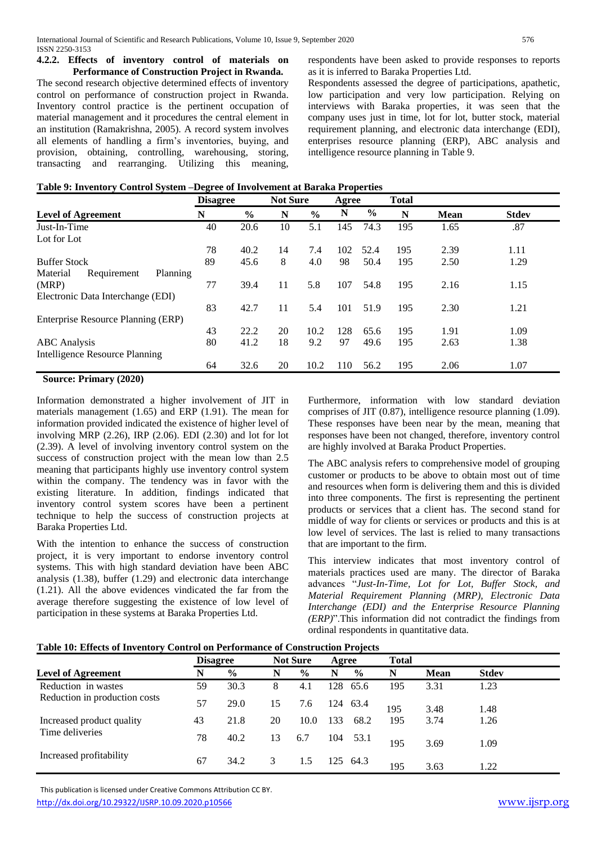#### **4.2.2. Effects of inventory control of materials on Performance of Construction Project in Rwanda.**

The second research objective determined effects of inventory control on performance of construction project in Rwanda. Inventory control practice is the pertinent occupation of material management and it procedures the central element in an institution (Ramakrishna, 2005). A record system involves all elements of handling a firm's inventories, buying, and provision, obtaining, controlling, warehousing, storing, transacting and rearranging. Utilizing this meaning,

respondents have been asked to provide responses to reports as it is inferred to Baraka Properties Ltd.

Respondents assessed the degree of participations, apathetic, low participation and very low participation. Relying on interviews with Baraka properties, it was seen that the company uses just in time, lot for lot, butter stock, material requirement planning, and electronic data interchange (EDI), enterprises resource planning (ERP), ABC analysis and intelligence resource planning in Table 9.

|  | Table 9: Inventory Control System - Degree of Involvement at Baraka Properties |
|--|--------------------------------------------------------------------------------|
|  |                                                                                |

|                                    |               |                 |               |                 |               | <b>Total</b> |             |              |
|------------------------------------|---------------|-----------------|---------------|-----------------|---------------|--------------|-------------|--------------|
| N                                  | $\frac{0}{0}$ | N               | $\frac{0}{0}$ | N               | $\frac{6}{9}$ | N            | <b>Mean</b> | <b>Stdev</b> |
| 40                                 | 20.6          | 10              | 5.1           | 145             | 74.3          | 195          | 1.65        | .87          |
|                                    |               |                 |               |                 |               |              |             |              |
| 78                                 | 40.2          | 14              | 7.4           | 102             | 52.4          | 195          | 2.39        | 1.11         |
| 89                                 | 45.6          | 8               | 4.0           | 98              | 50.4          | 195          | 2.50        | 1.29         |
| Planning                           |               |                 |               |                 |               |              |             |              |
| 77                                 | 39.4          | 11              | 5.8           | 107             | 54.8          | 195          | 2.16        | 1.15         |
|                                    |               |                 |               |                 |               |              |             |              |
| 83                                 | 42.7          | 11              | 5.4           | 101             | 51.9          | 195          | 2.30        | 1.21         |
| Enterprise Resource Planning (ERP) |               |                 |               |                 |               |              |             |              |
| 43                                 | 22.2          | 20              | 10.2          | 128             | 65.6          | 195          | 1.91        | 1.09         |
| 80                                 | 41.2          | 18              | 9.2           | 97              | 49.6          | 195          | 2.63        | 1.38         |
|                                    |               |                 |               |                 |               |              |             |              |
| 64                                 | 32.6          | 20              | 10.2          | 110             | 56.2          | 195          | 2.06        | 1.07         |
|                                    |               | <b>Disagree</b> |               | <b>Not Sure</b> |               | Agree        |             |              |

#### **Source: Primary (2020)**

Information demonstrated a higher involvement of JIT in materials management (1.65) and ERP (1.91). The mean for information provided indicated the existence of higher level of involving MRP (2.26), IRP (2.06). EDI (2.30) and lot for lot (2.39). A level of involving inventory control system on the success of construction project with the mean low than 2.5 meaning that participants highly use inventory control system within the company. The tendency was in favor with the existing literature. In addition, findings indicated that inventory control system scores have been a pertinent technique to help the success of construction projects at Baraka Properties Ltd.

With the intention to enhance the success of construction project, it is very important to endorse inventory control systems. This with high standard deviation have been ABC analysis (1.38), buffer (1.29) and electronic data interchange (1.21). All the above evidences vindicated the far from the average therefore suggesting the existence of low level of participation in these systems at Baraka Properties Ltd.

Furthermore, information with low standard deviation comprises of JIT (0.87), intelligence resource planning (1.09). These responses have been near by the mean, meaning that responses have been not changed, therefore, inventory control are highly involved at Baraka Product Properties.

The ABC analysis refers to comprehensive model of grouping customer or products to be above to obtain most out of time and resources when form is delivering them and this is divided into three components. The first is representing the pertinent products or services that a client has. The second stand for middle of way for clients or services or products and this is at low level of services. The last is relied to many transactions that are important to the firm.

This interview indicates that most inventory control of materials practices used are many. The director of Baraka advances "*Just-In-Time, Lot for Lot, Buffer Stock, and Material Requirement Planning (MRP), Electronic Data Interchange (EDI) and the Enterprise Resource Planning (ERP)*".This information did not contradict the findings from ordinal respondents in quantitative data.

|                               | <b>Disagree</b> |               |    | <b>Not Sure</b> | Agree |               | <b>Total</b> |             |              |  |
|-------------------------------|-----------------|---------------|----|-----------------|-------|---------------|--------------|-------------|--------------|--|
| <b>Level of Agreement</b>     | N               | $\frac{6}{9}$ | N  | $\frac{0}{0}$   | N     | $\frac{6}{9}$ | N            | <b>Mean</b> | <b>Stdev</b> |  |
| Reduction in wastes           | 59              | 30.3          | 8  | 4.1             | 128   | 65.6          | 195          | 3.31        | 1.23         |  |
| Reduction in production costs | 57              | 29.0          | 15 | 7.6             |       | 124 63.4      | 195          | 3.48        | 1.48         |  |
| Increased product quality     | 43              | 21.8          | 20 | 10.0            | 133   | 68.2          | 195          | 3.74        | 1.26         |  |
| Time deliveries               | 78              | 40.2          | 13 | 6.7             | 104   | 53.1          | 195          | 3.69        | 1.09         |  |
| Increased profitability       | 67              | 34.2          | 3  | 1.5             |       | 125 64.3      | 195          | 3.63        | 1.22         |  |

 This publication is licensed under Creative Commons Attribution CC BY. <http://dx.doi.org/10.29322/IJSRP.10.09.2020.p10566> [www.ijsrp.org](http://ijsrp.org/)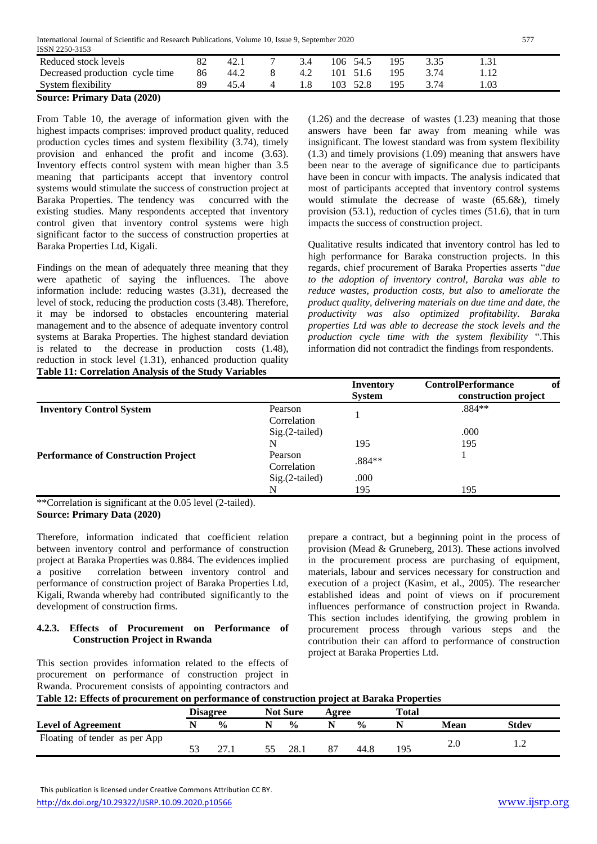International Journal of Scientific and Research Publications, Volume 10, Issue 9, September 2020 577

| ISSN 2250-3153                  |    |      |     |             |     |      |  |
|---------------------------------|----|------|-----|-------------|-----|------|--|
| Reduced stock levels            |    | 42.1 | 3.4 | 106 54.5    | 195 |      |  |
| Decreased production cycle time | 86 | 44.2 | 4.2 | 101 51.6    | 195 | 3.74 |  |
| System flexibility              |    |      |     | 103<br>52.8 | 195 | 3.74 |  |
| --<br>.<br>__                   |    |      |     |             |     |      |  |

**Source: Primary Data (2020)**

From Table 10, the average of information given with the highest impacts comprises: improved product quality, reduced production cycles times and system flexibility (3.74), timely provision and enhanced the profit and income (3.63). Inventory effects control system with mean higher than 3.5 meaning that participants accept that inventory control systems would stimulate the success of construction project at Baraka Properties. The tendency was concurred with the existing studies. Many respondents accepted that inventory control given that inventory control systems were high significant factor to the success of construction properties at Baraka Properties Ltd, Kigali.

Findings on the mean of adequately three meaning that they were apathetic of saying the influences. The above information include: reducing wastes (3.31), decreased the level of stock, reducing the production costs (3.48). Therefore, it may be indorsed to obstacles encountering material management and to the absence of adequate inventory control systems at Baraka Properties. The highest standard deviation is related to the decrease in production costs (1.48), reduction in stock level (1.31), enhanced production quality **Table 11: Correlation Analysis of the Study Variables**

(1.26) and the decrease of wastes (1.23) meaning that those answers have been far away from meaning while was insignificant. The lowest standard was from system flexibility (1.3) and timely provisions (1.09) meaning that answers have been near to the average of significance due to participants have been in concur with impacts. The analysis indicated that most of participants accepted that inventory control systems would stimulate the decrease of waste (65.6&), timely provision (53.1), reduction of cycles times (51.6), that in turn impacts the success of construction project.

Qualitative results indicated that inventory control has led to high performance for Baraka construction projects. In this regards, chief procurement of Baraka Properties asserts "*due to the adoption of inventory control, Baraka was able to reduce wastes, production costs, but also to ameliorate the product quality, delivering materials on due time and date, the productivity was also optimized profitability. Baraka properties Ltd was able to decrease the stock levels and the production cycle time with the system flexibility* ".This information did not contradict the findings from respondents.

|                                            |                  | <b>Inventory</b><br><b>System</b> | <b>ControlPerformance</b><br>-of<br>construction project |
|--------------------------------------------|------------------|-----------------------------------|----------------------------------------------------------|
| <b>Inventory Control System</b>            | Pearson          |                                   | $.884**$                                                 |
|                                            | Correlation      |                                   |                                                          |
|                                            | Sig.(2-tailed)   |                                   | .000                                                     |
|                                            | N                | 195                               | 195                                                      |
| <b>Performance of Construction Project</b> | Pearson          | .884**                            |                                                          |
|                                            | Correlation      |                                   |                                                          |
|                                            | $Sig.(2-tailed)$ | .000                              |                                                          |
|                                            | N                | 195                               | 195                                                      |

\*\*Correlation is significant at the 0.05 level (2-tailed). **Source: Primary Data (2020)**

Therefore, information indicated that coefficient relation between inventory control and performance of construction project at Baraka Properties was 0.884. The evidences implied a positive correlation between inventory control and performance of construction project of Baraka Properties Ltd, Kigali, Rwanda whereby had contributed significantly to the development of construction firms.

#### **4.2.3. Effects of Procurement on Performance of Construction Project in Rwanda**

This section provides information related to the effects of procurement on performance of construction project in Rwanda. Procurement consists of appointing contractors and

prepare a contract, but a beginning point in the process of provision (Mead & Gruneberg, 2013). These actions involved in the procurement process are purchasing of equipment, materials, labour and services necessary for construction and execution of a project (Kasim, et al., 2005). The researcher established ideas and point of views on if procurement influences performance of construction project in Rwanda. This section includes identifying, the growing problem in procurement process through various steps and the contribution their can afford to performance of construction project at Baraka Properties Ltd.

| Table 12: Effects of procurement on performance of construction project at Baraka Properties |
|----------------------------------------------------------------------------------------------|
|----------------------------------------------------------------------------------------------|

|                               |    | <b>Disagree</b> | <b>Not Sure</b> | Agree |               | Total |      |              |
|-------------------------------|----|-----------------|-----------------|-------|---------------|-------|------|--------------|
| <b>Level of Agreement</b>     |    | $\frac{0}{0}$   | $\frac{0}{0}$   |       | $\frac{0}{0}$ |       | Mean | <b>Stdev</b> |
| Floating of tender as per App | 53 | 27.1            | 28.1            | 87    | 44.8          | 195   | Z.U  |              |

 This publication is licensed under Creative Commons Attribution CC BY. <http://dx.doi.org/10.29322/IJSRP.10.09.2020.p10566> [www.ijsrp.org](http://ijsrp.org/)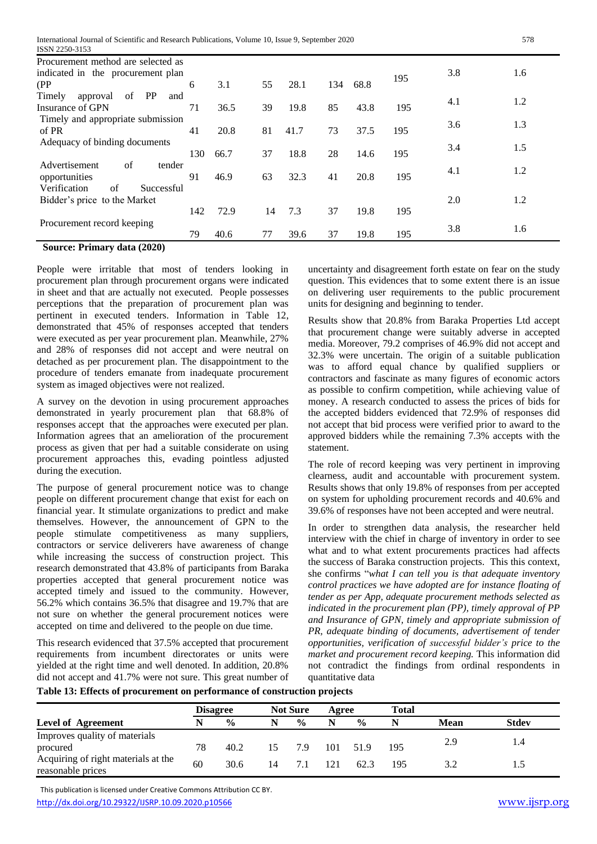| ISSN 2250-3153                        |     |      |    |      |     |      |     |     |     |
|---------------------------------------|-----|------|----|------|-----|------|-----|-----|-----|
| Procurement method are selected as    |     |      |    |      |     |      |     |     |     |
| indicated in the procurement plan     |     |      |    |      |     |      | 195 | 3.8 | 1.6 |
| (PP                                   | 6   | 3.1  | 55 | 28.1 | 134 | 68.8 |     |     |     |
| Timely<br>PP<br>of<br>approval<br>and |     |      |    |      |     |      |     | 4.1 | 1.2 |
| Insurance of GPN                      | 71  | 36.5 | 39 | 19.8 | 85  | 43.8 | 195 |     |     |
| Timely and appropriate submission     |     |      |    |      |     |      |     | 3.6 | 1.3 |
| of PR                                 | 41  | 20.8 | 81 | 41.7 | 73  | 37.5 | 195 |     |     |
| Adequacy of binding documents         |     |      |    |      |     |      |     | 3.4 | 1.5 |
|                                       | 130 | 66.7 | 37 | 18.8 | 28  | 14.6 | 195 |     |     |
| Advertisement<br>of<br>tender         |     |      |    |      |     |      |     | 4.1 | 1.2 |
| opportunities                         | 91  | 46.9 | 63 | 32.3 | 41  | 20.8 | 195 |     |     |
| Verification<br>of<br>Successful      |     |      |    |      |     |      |     |     |     |
| Bidder's price to the Market          |     |      |    |      |     |      |     | 2.0 | 1.2 |
|                                       | 142 | 72.9 | 14 | 7.3  | 37  | 19.8 | 195 |     |     |
| Procurement record keeping            |     |      |    |      |     |      |     |     | 1.6 |
|                                       | 79  | 40.6 | 77 | 39.6 | 37  | 19.8 | 195 | 3.8 |     |

#### **Source: Primary data (2020)**

People were irritable that most of tenders looking in procurement plan through procurement organs were indicated in sheet and that are actually not executed. People possesses perceptions that the preparation of procurement plan was pertinent in executed tenders. Information in Table 12, demonstrated that 45% of responses accepted that tenders were executed as per year procurement plan. Meanwhile, 27% and 28% of responses did not accept and were neutral on detached as per procurement plan. The disappointment to the procedure of tenders emanate from inadequate procurement system as imaged objectives were not realized.

A survey on the devotion in using procurement approaches demonstrated in yearly procurement plan that 68.8% of responses accept that the approaches were executed per plan. Information agrees that an amelioration of the procurement process as given that per had a suitable considerate on using procurement approaches this, evading pointless adjusted during the execution.

The purpose of general procurement notice was to change people on different procurement change that exist for each on financial year. It stimulate organizations to predict and make themselves. However, the announcement of GPN to the people stimulate competitiveness as many suppliers, contractors or service deliverers have awareness of change while increasing the success of construction project. This research demonstrated that 43.8% of participants from Baraka properties accepted that general procurement notice was accepted timely and issued to the community. However, 56.2% which contains 36.5% that disagree and 19.7% that are not sure on whether the general procurement notices were accepted on time and delivered to the people on due time.

This research evidenced that 37.5% accepted that procurement requirements from incumbent directorates or units were yielded at the right time and well denoted. In addition, 20.8% did not accept and 41.7% were not sure. This great number of

uncertainty and disagreement forth estate on fear on the study question. This evidences that to some extent there is an issue on delivering user requirements to the public procurement units for designing and beginning to tender.

Results show that 20.8% from Baraka Properties Ltd accept that procurement change were suitably adverse in accepted media. Moreover, 79.2 comprises of 46.9% did not accept and 32.3% were uncertain. The origin of a suitable publication was to afford equal chance by qualified suppliers or contractors and fascinate as many figures of economic actors as possible to confirm competition, while achieving value of money. A research conducted to assess the prices of bids for the accepted bidders evidenced that 72.9% of responses did not accept that bid process were verified prior to award to the approved bidders while the remaining 7.3% accepts with the statement.

The role of record keeping was very pertinent in improving clearness, audit and accountable with procurement system. Results shows that only 19.8% of responses from per accepted on system for upholding procurement records and 40.6% and 39.6% of responses have not been accepted and were neutral.

In order to strengthen data analysis, the researcher held interview with the chief in charge of inventory in order to see what and to what extent procurements practices had affects the success of Baraka construction projects. This this context, she confirms "*what I can tell you is that adequate inventory control practices we have adopted are for instance floating of tender as per App, adequate procurement methods selected as indicated in the procurement plan (PP), timely approval of PP and Insurance of GPN, timely and appropriate submission of PR, adequate binding of documents, advertisement of tender opportunities, verification of successful bidder's price to the market and procurement record keeping.* This information did not contradict the findings from ordinal respondents in quantitative data

**Table 13: Effects of procurement on performance of construction projects**

|                                                          |    | <b>Disagree</b> |    | <b>Not Sure</b> | Agree |               | <b>Total</b> |      |              |
|----------------------------------------------------------|----|-----------------|----|-----------------|-------|---------------|--------------|------|--------------|
| <b>Level of Agreement</b>                                |    | $\frac{0}{0}$   | N  | $\frac{0}{0}$   | N     | $\frac{0}{0}$ |              | Mean | <b>Stdev</b> |
| Improves quality of materials                            |    |                 |    |                 |       |               |              |      |              |
| procured                                                 | 78 | 40.2            | 15 | 7.9             | 101   | 51.9          | 195          | 2.9  | 1.4          |
| Acquiring of right materials at the<br>reasonable prices | 60 | 30.6            | 14 | 7.1             | 121   | 62.3          | 195          |      |              |

 This publication is licensed under Creative Commons Attribution CC BY. <http://dx.doi.org/10.29322/IJSRP.10.09.2020.p10566> [www.ijsrp.org](http://ijsrp.org/)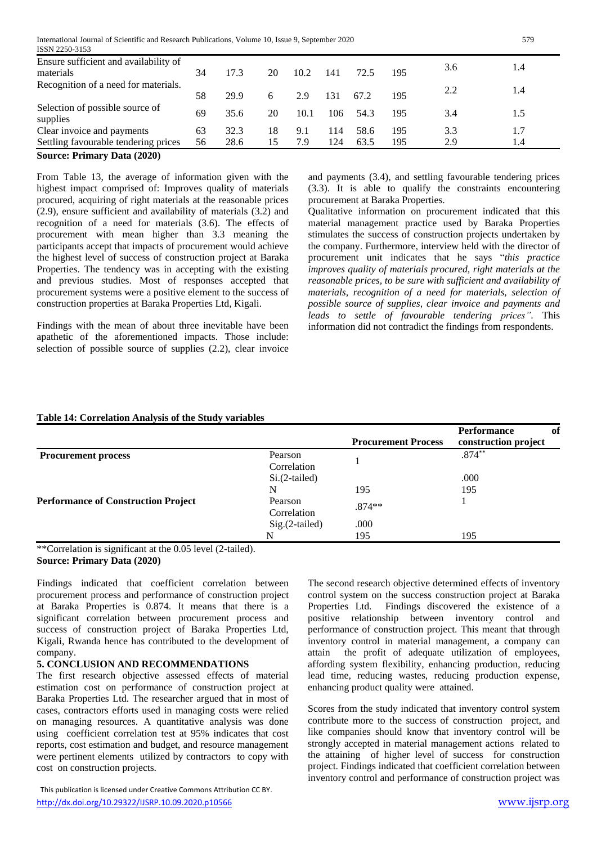| ISSN 2250-3153                                     |    |      |    |      |     |      |     |     |     |  |
|----------------------------------------------------|----|------|----|------|-----|------|-----|-----|-----|--|
| Ensure sufficient and availability of<br>materials | 34 | 17.3 | 20 | 10.2 | 141 | 72.5 | 195 | 3.6 | 1.4 |  |
| Recognition of a need for materials.               | 58 | 29.9 | 6  | 2.9  | 131 | 67.2 | 195 | 2.2 | 1.4 |  |
| Selection of possible source of<br>supplies        | 69 | 35.6 | 20 | 10.1 | 106 | 54.3 | 195 | 3.4 | 1.5 |  |
| Clear invoice and payments                         | 63 | 32.3 | 18 | 9.1  | 114 | 58.6 | 195 | 3.3 |     |  |
| Settling favourable tendering prices               | 56 | 28.6 | 15 | 7.9  | 124 | 63.5 | 195 | 2.9 | 1.4 |  |
| $\mathbf{D}$ $(AA)$<br>$\sim$<br>$\mathbf{r}$      |    |      |    |      |     |      |     |     |     |  |

**Source: Primary Data (2020)**

From Table 13, the average of information given with the highest impact comprised of: Improves quality of materials procured, acquiring of right materials at the reasonable prices (2.9), ensure sufficient and availability of materials (3.2) and recognition of a need for materials (3.6). The effects of procurement with mean higher than 3.3 meaning the participants accept that impacts of procurement would achieve the highest level of success of construction project at Baraka Properties. The tendency was in accepting with the existing and previous studies. Most of responses accepted that procurement systems were a positive element to the success of construction properties at Baraka Properties Ltd, Kigali.

Findings with the mean of about three inevitable have been apathetic of the aforementioned impacts. Those include: selection of possible source of supplies (2.2), clear invoice and payments (3.4), and settling favourable tendering prices (3.3). It is able to qualify the constraints encountering procurement at Baraka Properties.

Qualitative information on procurement indicated that this material management practice used by Baraka Properties stimulates the success of construction projects undertaken by the company. Furthermore, interview held with the director of procurement unit indicates that he says "*this practice improves quality of materials procured, right materials at the reasonable prices, to be sure with sufficient and availability of materials, recognition of a need for materials, selection of possible source of supplies, clear invoice and payments and leads to settle of favourable tendering prices"*. This information did not contradict the findings from respondents.

#### **Table 14: Correlation Analysis of the Study variables**

|                                            |                        | <b>Procurement Process</b> | <b>Performance</b><br>-of<br>construction project |
|--------------------------------------------|------------------------|----------------------------|---------------------------------------------------|
| <b>Procurement process</b>                 | Pearson<br>Correlation |                            | $.874***$                                         |
|                                            | $Si.(2-tailed)$        |                            | .000                                              |
|                                            | N                      | 195                        | 195                                               |
| <b>Performance of Construction Project</b> | Pearson<br>Correlation | $.874**$                   |                                                   |
|                                            | $Sig.(2-tailed)$       | .000                       |                                                   |
|                                            | N                      | 195                        | 195                                               |

\*\*Correlation is significant at the 0.05 level (2-tailed). **Source: Primary Data (2020)**

Findings indicated that coefficient correlation between procurement process and performance of construction project at Baraka Properties is 0.874. It means that there is a significant correlation between procurement process and success of construction project of Baraka Properties Ltd, Kigali, Rwanda hence has contributed to the development of company.

#### **5. CONCLUSION AND RECOMMENDATIONS**

The first research objective assessed effects of material estimation cost on performance of construction project at Baraka Properties Ltd. The researcher argued that in most of cases, contractors efforts used in managing costs were relied on managing resources. A quantitative analysis was done using coefficient correlation test at 95% indicates that cost reports, cost estimation and budget, and resource management were pertinent elements utilized by contractors to copy with cost on construction projects.

 This publication is licensed under Creative Commons Attribution CC BY. http://dx.doi.org/10.29322/JJSRP.10.09.2020.p10566 [www.ijsrp.org](http://ijsrp.org/) www.ijsrp.org

The second research objective determined effects of inventory control system on the success construction project at Baraka Properties Ltd. Findings discovered the existence of a positive relationship between inventory control and performance of construction project. This meant that through inventory control in material management, a company can attain the profit of adequate utilization of employees, affording system flexibility, enhancing production, reducing lead time, reducing wastes, reducing production expense, enhancing product quality were attained.

Scores from the study indicated that inventory control system contribute more to the success of construction project, and like companies should know that inventory control will be strongly accepted in material management actions related to the attaining of higher level of success for construction project. Findings indicated that coefficient correlation between inventory control and performance of construction project was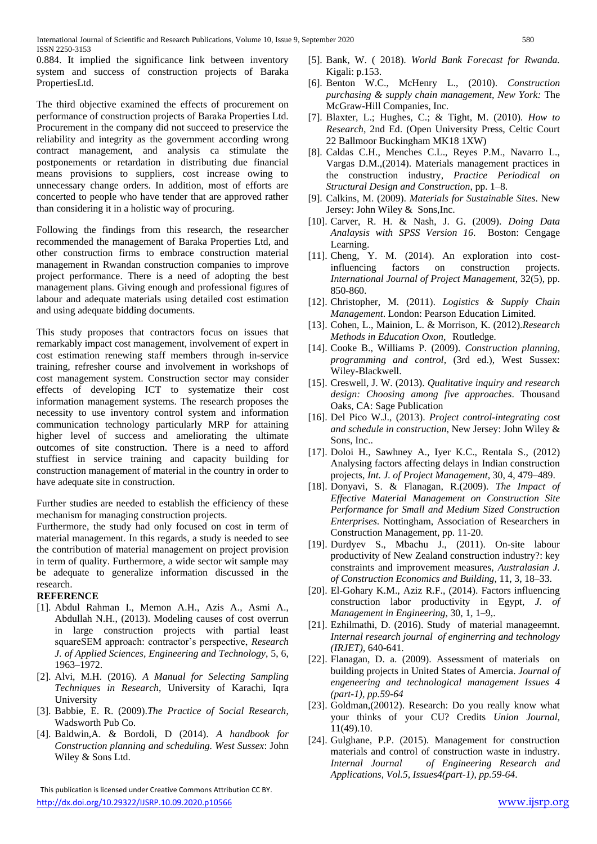0.884. It implied the significance link between inventory system and success of construction projects of Baraka PropertiesLtd.

The third objective examined the effects of procurement on performance of construction projects of Baraka Properties Ltd. Procurement in the company did not succeed to preservice the reliability and integrity as the government according wrong contract management, and analysis ca stimulate the postponements or retardation in distributing due financial means provisions to suppliers, cost increase owing to unnecessary change orders. In addition, most of efforts are concerted to people who have tender that are approved rather than considering it in a holistic way of procuring.

Following the findings from this research, the researcher recommended the management of Baraka Properties Ltd, and other construction firms to embrace construction material management in Rwandan construction companies to improve project performance. There is a need of adopting the best management plans. Giving enough and professional figures of labour and adequate materials using detailed cost estimation and using adequate bidding documents.

This study proposes that contractors focus on issues that remarkably impact cost management, involvement of expert in cost estimation renewing staff members through in-service training, refresher course and involvement in workshops of cost management system. Construction sector may consider effects of developing ICT to systematize their cost information management systems. The research proposes the necessity to use inventory control system and information communication technology particularly MRP for attaining higher level of success and ameliorating the ultimate outcomes of site construction. There is a need to afford stuffiest in service training and capacity building for construction management of material in the country in order to have adequate site in construction.

Further studies are needed to establish the efficiency of these mechanism for managing construction projects.

Furthermore, the study had only focused on cost in term of material management. In this regards, a study is needed to see the contribution of material management on project provision in term of quality. Furthermore, a wide sector wit sample may be adequate to generalize information discussed in the research.

#### **REFERENCE**

- [1]. Abdul Rahman I., Memon A.H., Azis A., Asmi A., Abdullah N.H., (2013). Modeling causes of cost overrun in large construction projects with partial least squareSEM approach: contractor's perspective, *Research J. of Applied Sciences, Engineering and Technology*, 5, 6, 1963–1972.
- [2]. Alvi, M.H. (2016). *A Manual for Selecting Sampling Techniques in Research*, University of Karachi, Iqra University
- [3]. Babbie, E. R. (2009).*The Practice of Social Research*, Wadsworth Pub Co.
- [4]. Baldwin,A. & Bordoli, D (2014). *A handbook for Construction planning and scheduling. West Sussex*: John Wiley & Sons Ltd.

 This publication is licensed under Creative Commons Attribution CC BY. http://dx.doi.org/10.29322/JJSRP.10.09.2020.p10566 [www.ijsrp.org](http://ijsrp.org/) www.ijsrp.org

- [5]. Bank, W. ( 2018). *World Bank Forecast for Rwanda.* Kigali: p.153.
- [6]. Benton W.C., McHenry L., (2010). *Construction purchasing & supply chain management, New York:* The McGraw-Hill Companies, Inc.
- [7]. Blaxter, L.; Hughes, C.; & Tight, M. (2010). *How to Research*, 2nd Ed. (Open University Press, Celtic Court 22 Ballmoor Buckingham MK18 1XW)
- [8]. Caldas C.H., Menches C.L., Reyes P.M., Navarro L., Vargas D.M.,(2014). Materials management practices in the construction industry, *Practice Periodical on Structural Design and Construction*, pp. 1–8.
- [9]. Calkins, M. (2009). *Materials for Sustainable Sites*. New Jersey: John Wiley & Sons,Inc.
- [10]. Carver, R. H. & Nash, J. G. (2009). *Doing Data Analaysis with SPSS Version 16*. Boston: Cengage Learning.
- [11]. Cheng, Y. M. (2014). An exploration into costinfluencing factors on construction projects. *International Journal of Project Management*, 32(5), pp. 850-860.
- [12]. Christopher, M. (2011). *Logistics & Supply Chain Management*. London: Pearson Education Limited.
- [13]. Cohen, L., Mainion, L. & Morrison, K. (2012).*Research Methods in Education Oxon*, Routledge.
- [14]. Cooke B., Williams P. (2009). *Construction planning, programming and control*, (3rd ed.), West Sussex: Wiley-Blackwell.
- [15]. Creswell, J. W. (2013). *Qualitative inquiry and research design: Choosing among five approaches*. Thousand Oaks, CA: Sage Publication
- [16]. Del Pico W.J., (2013). *Project control-integrating cost and schedule in construction*, New Jersey: John Wiley & Sons, Inc..
- [17]. Doloi H., Sawhney A., Iyer K.C., Rentala S., (2012) Analysing factors affecting delays in Indian construction projects, *Int. J. of Project Management*, 30, 4, 479–489.
- [18]. Donyavi, S. & Flanagan, R.(2009). *The Impact of Effective Material Management on Construction Site Performance for Small and Medium Sized Construction Enterprises*. Nottingham, Association of Researchers in Construction Management, pp. 11-20.
- [19]. Durdyev S., Mbachu J., (2011). On-site labour productivity of New Zealand construction industry?: key constraints and improvement measures, *Australasian J. of Construction Economics and Building,* 11, 3, 18–33.
- [20]. El-Gohary K.M., Aziz R.F., (2014). Factors influencing construction labor productivity in Egypt, *J. of Management in Engineering*, 30, 1, 1–9,.
- [21]. Ezhilmathi, D. (2016). Study of material manageemnt. *Internal research journal of enginerring and technology (IRJET),* 640-641.
- [22]. Flanagan, D. a. (2009). Assessment of materials on building projects in United States of Amercia. *Journal of engeneering and technological management Issues 4 (part-1), pp.59-64*
- [23]. Goldman,(20012). Research: Do you really know what your thinks of your CU? Credits *Union Journal*, 11(49).10.
- [24]. Gulghane, P.P. (2015). Management for construction materials and control of construction waste in industry. *Internal Journal of Engineering Research and Applications, Vol.5, Issues4(part-1), pp.59-64*.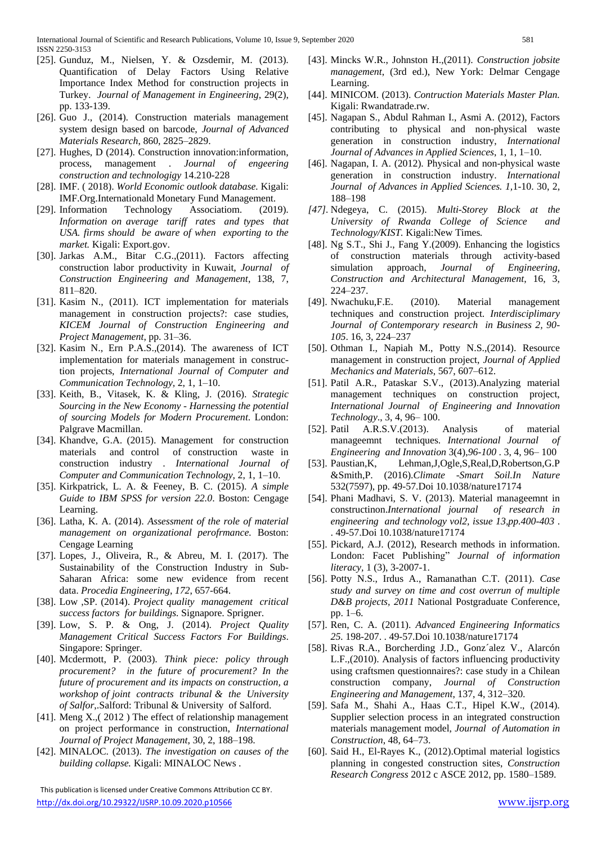- [25]. Gunduz, M., Nielsen, Y. & Ozsdemir, M. (2013). Quantification of Delay Factors Using Relative Importance Index Method for construction projects in Turkey. *Journal of Management in Engineering*, 29(2), pp. 133-139.
- [26]. Guo J., (2014). Construction materials management system design based on barcode, *Journal of Advanced Materials Research*, 860, 2825–2829.
- [27]. Hughes, D (2014). Construction innovation: information, process, management . *Journal of engeering construction and technologigy* 14.210-228
- [28]. IMF. ( 2018). *World Economic outlook database.* Kigali: IMF.Org.Internationald Monetary Fund Management.
- [29]. Information Technology Associatiom. (2019). *Information on average tariff rates and types that USA. firms should be aware of when exporting to the market.* Kigali: Export.gov.
- [30]. Jarkas A.M., Bitar C.G.,(2011). Factors affecting construction labor productivity in Kuwait, *Journal of Construction Engineering and Management*, 138, 7, 811–820.
- [31]. Kasim N., (2011). ICT implementation for materials management in construction projects?: case studies, *KICEM Journal of Construction Engineering and Project Management*, pp. 31–36.
- [32]. Kasim N., Ern P.A.S.,(2014). The awareness of ICT implementation for materials management in construction projects, *International Journal of Computer and Communication Technology,* 2, 1, 1–10.
- [33]. Keith, B., Vitasek, K. & Kling, J. (2016). *Strategic Sourcing in the New Economy - Harnessing the potential of sourcing Models for Modern Procurement*. London: Palgrave Macmillan.
- [34]. Khandve, G.A. (2015). Management for construction materials and control of construction waste in construction industry . *International Journal of Computer and Communication Technology,* 2, 1, 1–10.
- [35]. Kirkpatrick, L. A. & Feeney, B. C. (2015). *A simple Guide to IBM SPSS for version 22.0*. Boston: Cengage Learning.
- [36]. Latha, K. A. (2014). *Assessment of the role of material management on organizational perofrmance.* Boston: Cengage Learning
- [37]. Lopes, J., Oliveira, R., & Abreu, M. I. (2017). The Sustainability of the Construction Industry in Sub-Saharan Africa: some new evidence from recent data. *Procedia Engineering*, *172*, 657-664.
- [38]. Low ,SP. (2014). *Project quality management critical success factors for buildings.* Signapore. Sprigner.
- [39]. Low, S. P. & Ong, J. (2014). *Project Quality Management Critical Success Factors For Buildings*. Singapore: Springer.
- [40]. Mcdermott, P. (2003). *Think piece: policy through procurement? in the future of procurement? In the future of procurement and its impacts on construction, a workshop of joint contracts tribunal & the University of Salfor*,.Salford: Tribunal & University of Salford.
- [41]. Meng X.,( 2012 ) The effect of relationship management on project performance in construction, *International Journal of Project Management*, 30, 2, 188–198.
- [42]. MINALOC. (2013). *The investigation on causes of the building collapse.* Kigali: MINALOC News .

 This publication is licensed under Creative Commons Attribution CC BY. http://dx.doi.org/10.29322/JJSRP.10.09.2020.p10566 [www.ijsrp.org](http://ijsrp.org/)

- [43]. Mincks W.R., Johnston H.,(2011). *Construction jobsite management*, (3rd ed.), New York: Delmar Cengage Learning.
- [44]. MINICOM. (2013). *Contruction Materials Master Plan.* Kigali: Rwandatrade.rw.
- [45]. Nagapan S., Abdul Rahman I., Asmi A. (2012), Factors contributing to physical and non-physical waste generation in construction industry, *International Journal of Advances in Applied Sciences*, 1, 1, 1–10.
- [46]. Nagapan, I. A. (2012). Physical and non-physical waste generation in construction industry. *International Journal of Advances in Applied Sciences. 1,*1-10. 30, 2, 188–198
- *[47].* Ndegeya, C. (2015). *Multi-Storey Block at the University of Rwanda College of Science and Technology/KIST.* Kigali:New Times*.*
- [48]. Ng S.T., Shi J., Fang Y.(2009). Enhancing the logistics of construction materials through activity-based simulation approach, *Journal of Engineering, Construction and Architectural Management*, 16, 3, 224–237.
- [49]. Nwachuku,F.E. (2010). Material management techniques and construction project. *Interdisciplimary Journal of Contemporary research in Business 2, 90- 105*. 16, 3, 224–237
- [50]. Othman I., Napiah M., Potty N.S.,(2014). Resource management in construction project, *Journal of Applied Mechanics and Materials*, 567, 607–612.
- [51]. Patil A.R., Pataskar S.V., (2013).Analyzing material management techniques on construction project, *International Journal of Engineering and Innovation Technology*., 3, 4, 96– 100.
- [52]. Patil A.R.S.V.(2013). Analysis of material manageemnt techniques. *International Journal of Engineering and Innovation* 3(4),*96-100* . 3, 4, 96– 100
- [53]. Paustian,K, Lehman,J,Ogle,S,Real,D,Robertson,G.P &Smith,P. (2016).*Climate -Smart Soil.In Nature*  532(7597), pp. 49-57.Doi 10.1038/nature17174
- [54]. Phani Madhavi, S. V. (2013). Material manageemnt in constructinon.*International journal of research in engineering and technology vol2, issue 13,pp.400-403* . . 49-57.Doi 10.1038/nature17174
- [55]. Pickard, A.J. (2012), Research methods in information. London: Facet Publishing" *Journal of information literacy,* 1 (3), 3-2007-1.
- [56]. Potty N.S., Irdus A., Ramanathan C.T. (2011). *Case study and survey on time and cost overrun of multiple D&B projects, 2011* National Postgraduate Conference, pp. 1–6.
- [57]. Ren, C. A. (2011). *Advanced Engineering Informatics 25.* 198-207. . 49-57.Doi 10.1038/nature17174
- [58]. Rivas R.A., Borcherding J.D., Gonz´alez V., Alarcón L.F.,(2010). Analysis of factors influencing productivity using craftsmen questionnaires?: case study in a Chilean construction company, *Journal of Construction Engineering and Management*, 137, 4, 312–320.
- [59]. Safa M., Shahi A., Haas C.T., Hipel K.W., (2014). Supplier selection process in an integrated construction materials management model, *Journal of Automation in Construction*, 48, 64–73.
- [60]. Said H., El-Rayes K., (2012).Optimal material logistics planning in congested construction sites, *Construction Research Congress* 2012 c ASCE 2012, pp. 1580–1589.